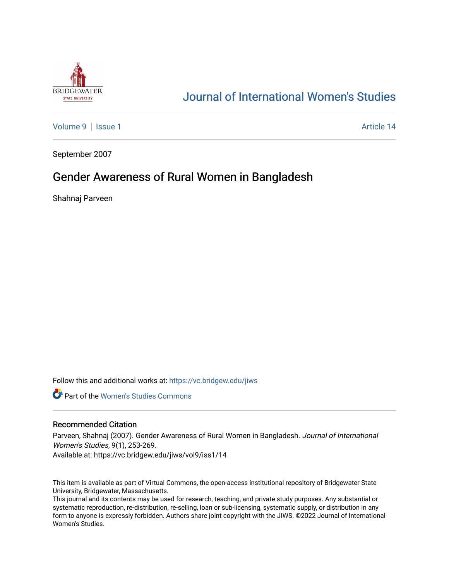

# [Journal of International Women's Studies](https://vc.bridgew.edu/jiws)

[Volume 9](https://vc.bridgew.edu/jiws/vol9) | [Issue 1](https://vc.bridgew.edu/jiws/vol9/iss1) Article 14

September 2007

## Gender Awareness of Rural Women in Bangladesh

Shahnaj Parveen

Follow this and additional works at: [https://vc.bridgew.edu/jiws](https://vc.bridgew.edu/jiws?utm_source=vc.bridgew.edu%2Fjiws%2Fvol9%2Fiss1%2F14&utm_medium=PDF&utm_campaign=PDFCoverPages)

**C** Part of the Women's Studies Commons

### Recommended Citation

Parveen, Shahnaj (2007). Gender Awareness of Rural Women in Bangladesh. Journal of International Women's Studies, 9(1), 253-269.

Available at: https://vc.bridgew.edu/jiws/vol9/iss1/14

This item is available as part of Virtual Commons, the open-access institutional repository of Bridgewater State University, Bridgewater, Massachusetts.

This journal and its contents may be used for research, teaching, and private study purposes. Any substantial or systematic reproduction, re-distribution, re-selling, loan or sub-licensing, systematic supply, or distribution in any form to anyone is expressly forbidden. Authors share joint copyright with the JIWS. ©2022 Journal of International Women's Studies.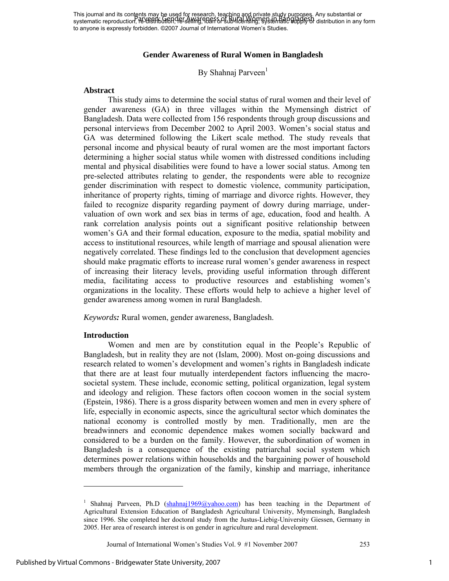This journal and its contents may be used for research, teaching and private study purposes. Any substantial or This journal and its conditionity of easier of research, leading any private stupy perfects. Any substantial or<br>systematic reproduction, Re-USH butten, The selling, 1985 SPS ub-II densing, SPS ten Part of Bupple Strainbuti to anyone is expressly forbidden. ©2007 Journal of International Women's Studies.

### **Gender Awareness of Rural Women in Bangladesh**

By Shahnaj Parveen<sup>1</sup>

### **Abstract**

This study aims to determine the social status of rural women and their level of gender awareness (GA) in three villages within the Mymensingh district of Bangladesh. Data were collected from 156 respondents through group discussions and personal interviews from December 2002 to April 2003. Women's social status and GA was determined following the Likert scale method. The study reveals that personal income and physical beauty of rural women are the most important factors determining a higher social status while women with distressed conditions including mental and physical disabilities were found to have a lower social status. Among ten pre-selected attributes relating to gender, the respondents were able to recognize gender discrimination with respect to domestic violence, community participation, inheritance of property rights, timing of marriage and divorce rights. However, they failed to recognize disparity regarding payment of dowry during marriage, undervaluation of own work and sex bias in terms of age, education, food and health. A rank correlation analysis points out a significant positive relationship between women's GA and their formal education, exposure to the media, spatial mobility and access to institutional resources, while length of marriage and spousal alienation were negatively correlated. These findings led to the conclusion that development agencies should make pragmatic efforts to increase rural women's gender awareness in respect of increasing their literacy levels, providing useful information through different media, facilitating access to productive resources and establishing women's organizations in the locality. These efforts would help to achieve a higher level of gender awareness among women in rural Bangladesh.

*Keywords:* Rural women, gender awareness, Bangladesh.

#### **Introduction**

Women and men are by constitution equal in the People's Republic of Bangladesh, but in reality they are not (Islam, 2000). Most on-going discussions and research related to women's development and women's rights in Bangladesh indicate that there are at least four mutually interdependent factors influencing the macrosocietal system. These include, economic setting, political organization, legal system and ideology and religion. These factors often cocoon women in the social system (Epstein, 1986). There is a gross disparity between women and men in every sphere of life, especially in economic aspects, since the agricultural sector which dominates the national economy is controlled mostly by men. Traditionally, men are the breadwinners and economic dependence makes women socially backward and considered to be a burden on the family. However, the subordination of women in Bangladesh is a consequence of the existing patriarchal social system which determines power relations within households and the bargaining power of household members through the organization of the family, kinship and marriage, inheritance

 $\overline{\phantom{a}}$ 

<sup>&</sup>lt;sup>1</sup> Shahnaj Parveen, Ph.D (shahnaj1969@yahoo.com) has been teaching in the Department of Agricultural Extension Education of Bangladesh Agricultural University, Mymensingh, Bangladesh since 1996. She completed her doctoral study from the Justus-Liebig-University Giessen, Germany in 2005. Her area of research interest is on gender in agriculture and rural development.

Journal of International Women's Studies Vol. 9 #1 November 2007 253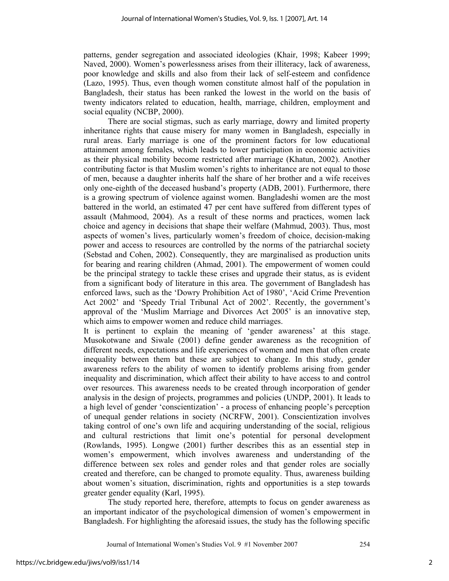patterns, gender segregation and associated ideologies (Khair, 1998; Kabeer 1999; Naved, 2000). Women's powerlessness arises from their illiteracy, lack of awareness, poor knowledge and skills and also from their lack of self-esteem and confidence (Lazo, 1995). Thus, even though women constitute almost half of the population in Bangladesh, their status has been ranked the lowest in the world on the basis of twenty indicators related to education, health, marriage, children, employment and social equality (NCBP, 2000).

There are social stigmas, such as early marriage, dowry and limited property inheritance rights that cause misery for many women in Bangladesh, especially in rural areas. Early marriage is one of the prominent factors for low educational attainment among females, which leads to lower participation in economic activities as their physical mobility become restricted after marriage (Khatun, 2002). Another contributing factor is that Muslim women's rights to inheritance are not equal to those of men, because a daughter inherits half the share of her brother and a wife receives only one-eighth of the deceased husband's property (ADB, 2001). Furthermore, there is a growing spectrum of violence against women. Bangladeshi women are the most battered in the world, an estimated 47 per cent have suffered from different types of assault (Mahmood, 2004). As a result of these norms and practices, women lack choice and agency in decisions that shape their welfare (Mahmud, 2003). Thus, most aspects of women's lives, particularly women's freedom of choice, decision-making power and access to resources are controlled by the norms of the patriarchal society (Sebstad and Cohen, 2002). Consequently, they are marginalised as production units for bearing and rearing children (Ahmad, 2001). The empowerment of women could be the principal strategy to tackle these crises and upgrade their status, as is evident from a significant body of literature in this area. The government of Bangladesh has enforced laws, such as the 'Dowry Prohibition Act of 1980', 'Acid Crime Prevention Act 2002' and 'Speedy Trial Tribunal Act of 2002'. Recently, the government's approval of the 'Muslim Marriage and Divorces Act 2005' is an innovative step, which aims to empower women and reduce child marriages.

It is pertinent to explain the meaning of 'gender awareness' at this stage. Musokotwane and Siwale (2001) define gender awareness as the recognition of different needs, expectations and life experiences of women and men that often create inequality between them but these are subject to change. In this study, gender awareness refers to the ability of women to identify problems arising from gender inequality and discrimination, which affect their ability to have access to and control over resources. This awareness needs to be created through incorporation of gender analysis in the design of projects, programmes and policies (UNDP, 2001). It leads to a high level of gender 'conscientization' - a process of enhancing people's perception of unequal gender relations in society (NCRFW, 2001). Conscientization involves taking control of one's own life and acquiring understanding of the social, religious and cultural restrictions that limit one's potential for personal development (Rowlands, 1995). Longwe (2001) further describes this as an essential step in women's empowerment, which involves awareness and understanding of the difference between sex roles and gender roles and that gender roles are socially created and therefore, can be changed to promote equality. Thus, awareness building about women's situation, discrimination, rights and opportunities is a step towards greater gender equality (Karl, 1995).

The study reported here, therefore, attempts to focus on gender awareness as an important indicator of the psychological dimension of women's empowerment in Bangladesh. For highlighting the aforesaid issues, the study has the following specific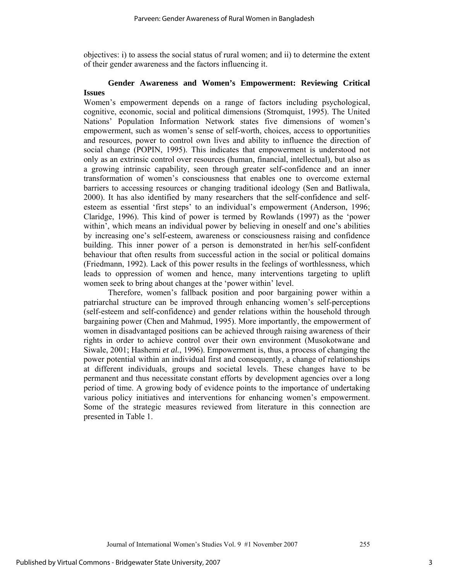objectives: i) to assess the social status of rural women; and ii) to determine the extent of their gender awareness and the factors influencing it.

## **Gender Awareness and Women's Empowerment: Reviewing Critical Issues**

Women's empowerment depends on a range of factors including psychological, cognitive, economic, social and political dimensions (Stromquist, 1995). The United Nations' Population Information Network states five dimensions of women's empowerment, such as women's sense of self-worth, choices, access to opportunities and resources, power to control own lives and ability to influence the direction of social change (POPIN, 1995). This indicates that empowerment is understood not only as an extrinsic control over resources (human, financial, intellectual), but also as a growing intrinsic capability, seen through greater self-confidence and an inner transformation of women's consciousness that enables one to overcome external barriers to accessing resources or changing traditional ideology (Sen and Batliwala, 2000). It has also identified by many researchers that the self-confidence and selfesteem as essential 'first steps' to an individual's empowerment (Anderson, 1996; Claridge, 1996). This kind of power is termed by Rowlands (1997) as the 'power within', which means an individual power by believing in oneself and one's abilities by increasing one's self-esteem, awareness or consciousness raising and confidence building. This inner power of a person is demonstrated in her/his self-confident behaviour that often results from successful action in the social or political domains (Friedmann, 1992). Lack of this power results in the feelings of worthlessness, which leads to oppression of women and hence, many interventions targeting to uplift women seek to bring about changes at the 'power within' level.

Therefore, women's fallback position and poor bargaining power within a patriarchal structure can be improved through enhancing women's self-perceptions (self-esteem and self-confidence) and gender relations within the household through bargaining power (Chen and Mahmud, 1995). More importantly, the empowerment of women in disadvantaged positions can be achieved through raising awareness of their rights in order to achieve control over their own environment (Musokotwane and Siwale, 2001; Hashemi *et al.*, 1996). Empowerment is, thus, a process of changing the power potential within an individual first and consequently, a change of relationships at different individuals, groups and societal levels. These changes have to be permanent and thus necessitate constant efforts by development agencies over a long period of time. A growing body of evidence points to the importance of undertaking various policy initiatives and interventions for enhancing women's empowerment. Some of the strategic measures reviewed from literature in this connection are presented in Table 1.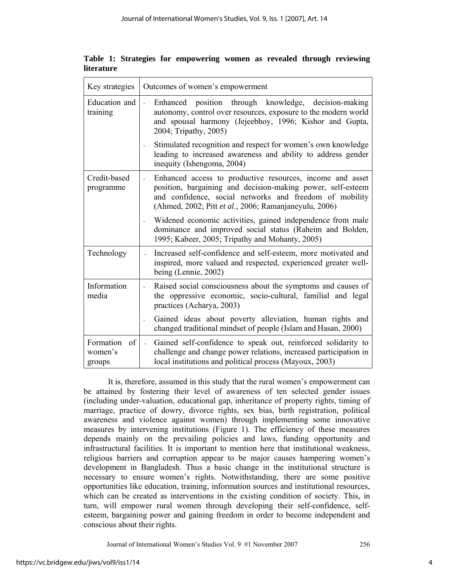| Key strategies                       | Outcomes of women's empowerment                                                                                                                                                                                                                                     |
|--------------------------------------|---------------------------------------------------------------------------------------------------------------------------------------------------------------------------------------------------------------------------------------------------------------------|
| Education and<br>training            | position through knowledge, decision-making<br>Enhanced<br>$\mathbb{Z}^2$<br>autonomy, control over resources, exposure to the modern world<br>and spousal harmony (Jejeebhoy, 1996; Kishor and Gupta,<br>2004; Tripathy, 2005)                                     |
|                                      | Stimulated recognition and respect for women's own knowledge<br>leading to increased awareness and ability to address gender<br>inequity (Ishengoma, 2004)                                                                                                          |
| Credit-based<br>programme            | Enhanced access to productive resources, income and asset<br>$\mathcal{L}^{\pm}$<br>position, bargaining and decision-making power, self-esteem<br>and confidence, social networks and freedom of mobility<br>(Ahmed, 2002; Pitt et al., 2006; Ramanjaneyulu, 2006) |
|                                      | Widened economic activities, gained independence from male<br>dominance and improved social status (Raheim and Bolden,<br>1995; Kabeer, 2005; Tripathy and Mohanty, 2005)                                                                                           |
| Technology                           | Increased self-confidence and self-esteem, more motivated and<br>inspired, more valued and respected, experienced greater well-<br>being (Lennie, 2002)                                                                                                             |
| Information<br>media                 | Raised social consciousness about the symptoms and causes of<br>the oppressive economic, socio-cultural, familial and legal<br>practices (Acharya, 2003)                                                                                                            |
|                                      | Gained ideas about poverty alleviation, human rights and<br>$\overline{\phantom{a}}$<br>changed traditional mindset of people (Islam and Hasan, 2000)                                                                                                               |
| Formation<br>of<br>women's<br>groups | Gained self-confidence to speak out, reinforced solidarity to<br>$\mathbb{Z}^2$<br>challenge and change power relations, increased participation in<br>local institutions and political process (Mayoux, 2003)                                                      |

**Table 1: Strategies for empowering women as revealed through reviewing literature** 

It is, therefore, assumed in this study that the rural women's empowerment can be attained by fostering their level of awareness of ten selected gender issues (including under-valuation, educational gap, inheritance of property rights, timing of marriage, practice of dowry, divorce rights, sex bias, birth registration, political awareness and violence against women) through implementing some innovative measures by intervening institutions (Figure 1). The efficiency of these measures depends mainly on the prevailing policies and laws, funding opportunity and infrastructural facilities. It is important to mention here that institutional weakness, religious barriers and corruption appear to be major causes hampering women's development in Bangladesh. Thus a basic change in the institutional structure is necessary to ensure women's rights. Notwithstanding, there are some positive opportunities like education, training, information sources and institutional resources, which can be created as interventions in the existing condition of society. This, in turn, will empower rural women through developing their self-confidence, selfesteem, bargaining power and gaining freedom in order to become independent and conscious about their rights.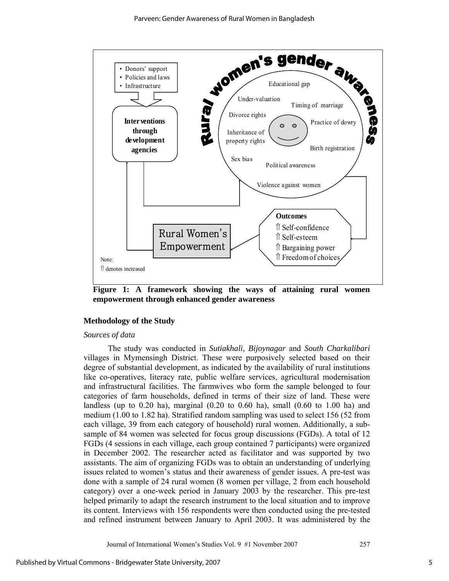

**Figure 1: A framework showing the ways of attaining rural women empowerment through enhanced gender awareness** 

#### **Methodology of the Study**

#### *Sources of data*

The study was conducted in *Sutiakhali*, *Bijoynagar* and *South Charkalibari* villages in Mymensingh District. These were purposively selected based on their degree of substantial development, as indicated by the availability of rural institutions like co-operatives, literacy rate, public welfare services, agricultural modernisation and infrastructural facilities. The farmwives who form the sample belonged to four categories of farm households, defined in terms of their size of land. These were landless (up to  $0.20$  ha), marginal  $(0.20$  to  $0.60$  ha), small  $(0.60$  to  $1.00$  ha) and medium (1.00 to 1.82 ha). Stratified random sampling was used to select 156 (52 from each village, 39 from each category of household) rural women. Additionally, a subsample of 84 women was selected for focus group discussions (FGDs). A total of 12 FGDs (4 sessions in each village, each group contained 7 participants) were organized in December 2002. The researcher acted as facilitator and was supported by two assistants. The aim of organizing FGDs was to obtain an understanding of underlying issues related to women's status and their awareness of gender issues. A pre-test was done with a sample of 24 rural women (8 women per village, 2 from each household category) over a one-week period in January 2003 by the researcher. This pre-test helped primarily to adapt the research instrument to the local situation and to improve its content. Interviews with 156 respondents were then conducted using the pre-tested and refined instrument between January to April 2003. It was administered by the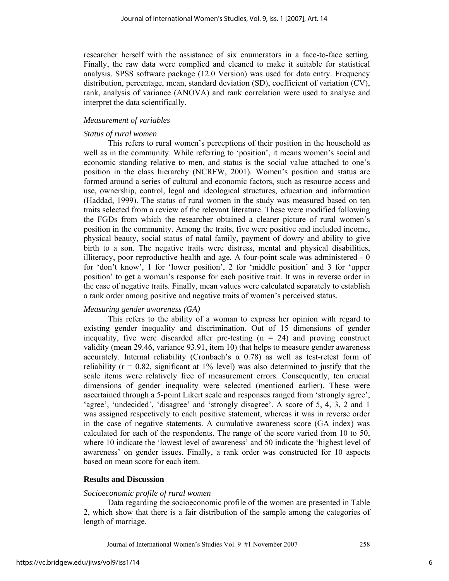researcher herself with the assistance of six enumerators in a face-to-face setting. Finally, the raw data were complied and cleaned to make it suitable for statistical analysis. SPSS software package (12.0 Version) was used for data entry. Frequency distribution, percentage, mean, standard deviation (SD), coefficient of variation (CV), rank, analysis of variance (ANOVA) and rank correlation were used to analyse and interpret the data scientifically.

## *Measurement of variables*

## *Status of rural women*

This refers to rural women's perceptions of their position in the household as well as in the community. While referring to 'position', it means women's social and economic standing relative to men, and status is the social value attached to one's position in the class hierarchy (NCRFW, 2001). Women's position and status are formed around a series of cultural and economic factors, such as resource access and use, ownership, control, legal and ideological structures, education and information (Haddad, 1999). The status of rural women in the study was measured based on ten traits selected from a review of the relevant literature. These were modified following the FGDs from which the researcher obtained a clearer picture of rural women's position in the community. Among the traits, five were positive and included income, physical beauty, social status of natal family, payment of dowry and ability to give birth to a son. The negative traits were distress, mental and physical disabilities, illiteracy, poor reproductive health and age. A four-point scale was administered - 0 for 'don't know', 1 for 'lower position', 2 for 'middle position' and 3 for 'upper position' to get a woman's response for each positive trait. It was in reverse order in the case of negative traits. Finally, mean values were calculated separately to establish a rank order among positive and negative traits of women's perceived status.

## *Measuring gender awareness (GA)*

This refers to the ability of a woman to express her opinion with regard to existing gender inequality and discrimination. Out of 15 dimensions of gender inequality, five were discarded after pre-testing  $(n = 24)$  and proving construct validity (mean 29.46, variance 93.91, item 10) that helps to measure gender awareness accurately. Internal reliability (Cronbach's  $\alpha$  0.78) as well as test-retest form of reliability ( $r = 0.82$ , significant at 1% level) was also determined to justify that the scale items were relatively free of measurement errors. Consequently, ten crucial dimensions of gender inequality were selected (mentioned earlier). These were ascertained through a 5-point Likert scale and responses ranged from 'strongly agree', 'agree', 'undecided', 'disagree' and 'strongly disagree'. A score of 5, 4, 3, 2 and 1 was assigned respectively to each positive statement, whereas it was in reverse order in the case of negative statements. A cumulative awareness score (GA index) was calculated for each of the respondents. The range of the score varied from 10 to 50, where 10 indicate the 'lowest level of awareness' and 50 indicate the 'highest level of awareness' on gender issues. Finally, a rank order was constructed for 10 aspects based on mean score for each item.

## **Results and Discussion**

#### *Socioeconomic profile of rural women*

Data regarding the socioeconomic profile of the women are presented in Table 2, which show that there is a fair distribution of the sample among the categories of length of marriage.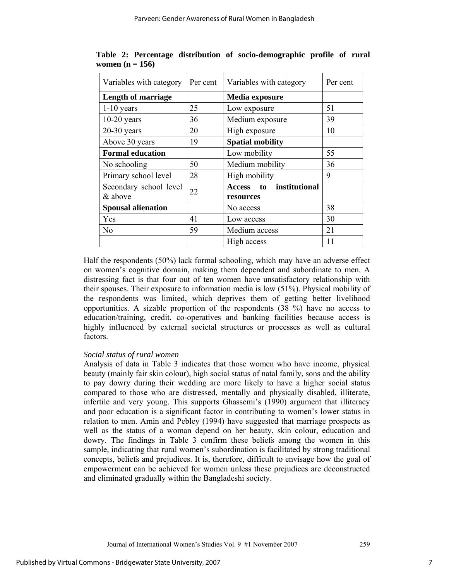| Variables with category           | Per cent | Variables with category              | Per cent |
|-----------------------------------|----------|--------------------------------------|----------|
| <b>Length of marriage</b>         |          | Media exposure                       |          |
| $1-10$ years                      | 25       | Low exposure                         | 51       |
| $10-20$ years                     | 36       | Medium exposure                      | 39       |
| $20-30$ years                     | 20       | High exposure                        | 10       |
| Above 30 years                    | 19       | <b>Spatial mobility</b>              |          |
| <b>Formal education</b>           |          | Low mobility                         | 55       |
| No schooling                      | 50       | Medium mobility                      | 36       |
| Primary school level              | 28       | High mobility                        | 9        |
| Secondary school level<br>& above | 22       | Access to institutional<br>resources |          |
| <b>Spousal alienation</b>         |          | No access                            | 38       |
| Yes                               | 41       | Low access                           | 30       |
| N <sub>0</sub>                    | 59       | Medium access                        | 21       |
|                                   |          | High access                          | 11       |

**Table 2: Percentage distribution of socio-demographic profile of rural women (n = 156)** 

Half the respondents (50%) lack formal schooling, which may have an adverse effect on women's cognitive domain, making them dependent and subordinate to men. A distressing fact is that four out of ten women have unsatisfactory relationship with their spouses. Their exposure to information media is low (51%). Physical mobility of the respondents was limited, which deprives them of getting better livelihood opportunities. A sizable proportion of the respondents (38 %) have no access to education/training, credit, co-operatives and banking facilities because access is highly influenced by external societal structures or processes as well as cultural factors.

## *Social status of rural women*

Analysis of data in Table 3 indicates that those women who have income, physical beauty (mainly fair skin colour), high social status of natal family, sons and the ability to pay dowry during their wedding are more likely to have a higher social status compared to those who are distressed, mentally and physically disabled, illiterate, infertile and very young. This supports Ghassemi's (1990) argument that illiteracy and poor education is a significant factor in contributing to women's lower status in relation to men. Amin and Pebley (1994) have suggested that marriage prospects as well as the status of a woman depend on her beauty, skin colour, education and dowry. The findings in Table 3 confirm these beliefs among the women in this sample, indicating that rural women's subordination is facilitated by strong traditional concepts, beliefs and prejudices. It is, therefore, difficult to envisage how the goal of empowerment can be achieved for women unless these prejudices are deconstructed and eliminated gradually within the Bangladeshi society.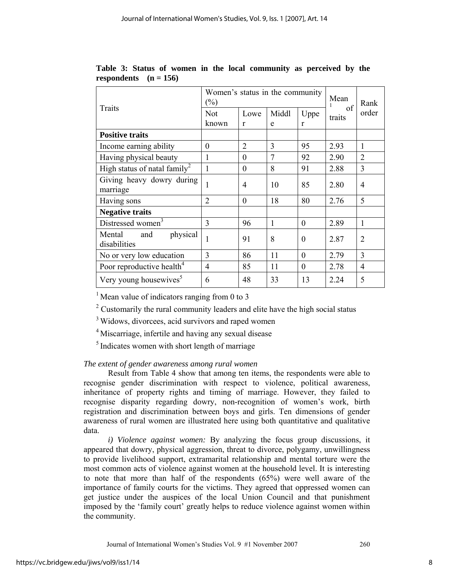| Traits                                    | Women's status in the community<br>$(\%)$ |                |              |                | Mean<br>of | Rank           |
|-------------------------------------------|-------------------------------------------|----------------|--------------|----------------|------------|----------------|
|                                           | Not                                       | Lowe           | Middl        | Uppe           | traits     | order          |
|                                           | known                                     | r              | e            | $\mathbf{r}$   |            |                |
| <b>Positive traits</b>                    |                                           |                |              |                |            |                |
| Income earning ability                    | $\theta$                                  | $\overline{2}$ | 3            | 95             | 2.93       | 1              |
| Having physical beauty                    | 1                                         | $\theta$       | 7            | 92             | 2.90       | $\overline{2}$ |
| High status of natal family <sup>2</sup>  | 1                                         | $\overline{0}$ | 8            | 91             | 2.88       | 3              |
| Giving heavy dowry during                 |                                           | 4              | 10           | 85             | 2.80       | $\overline{4}$ |
| marriage                                  |                                           |                |              |                |            |                |
| Having sons                               | $\overline{2}$                            | $\Omega$       | 18           | 80             | 2.76       | 5              |
| <b>Negative traits</b>                    |                                           |                |              |                |            |                |
| Distressed women <sup>3</sup>             | 3                                         | 96             | $\mathbf{1}$ | $\overline{0}$ | 2.89       | 1              |
| physical<br>Mental<br>and<br>disabilities | 1                                         | 91             | 8            | $\Omega$       | 2.87       | $\overline{2}$ |
| No or very low education                  | 3                                         | 86             | 11           | $\Omega$       | 2.79       | 3              |
| Poor reproductive health <sup>4</sup>     | $\overline{4}$                            | 85             | 11           | $\Omega$       | 2.78       | $\overline{4}$ |
| Very young housewives <sup>5</sup>        | 6                                         | 48             | 33           | 13             | 2.24       | 5              |

**Table 3: Status of women in the local community as perceived by the**  respondents  $(n = 156)$ 

 $1$  Mean value of indicators ranging from 0 to 3

<sup>2</sup> Customarily the rural community leaders and elite have the high social status

<sup>3</sup> Widows, divorcees, acid survivors and raped women

<sup>4</sup> Miscarriage, infertile and having any sexual disease

<sup>5</sup> Indicates women with short length of marriage

## *The extent of gender awareness among rural women*

Result from Table 4 show that among ten items, the respondents were able to recognise gender discrimination with respect to violence, political awareness, inheritance of property rights and timing of marriage. However, they failed to recognise disparity regarding dowry, non-recognition of women's work, birth registration and discrimination between boys and girls. Ten dimensions of gender awareness of rural women are illustrated here using both quantitative and qualitative data.

*i) Violence against women:* By analyzing the focus group discussions, it appeared that dowry, physical aggression, threat to divorce, polygamy, unwillingness to provide livelihood support, extramarital relationship and mental torture were the most common acts of violence against women at the household level. It is interesting to note that more than half of the respondents (65%) were well aware of the importance of family courts for the victims. They agreed that oppressed women can get justice under the auspices of the local Union Council and that punishment imposed by the 'family court' greatly helps to reduce violence against women within the community.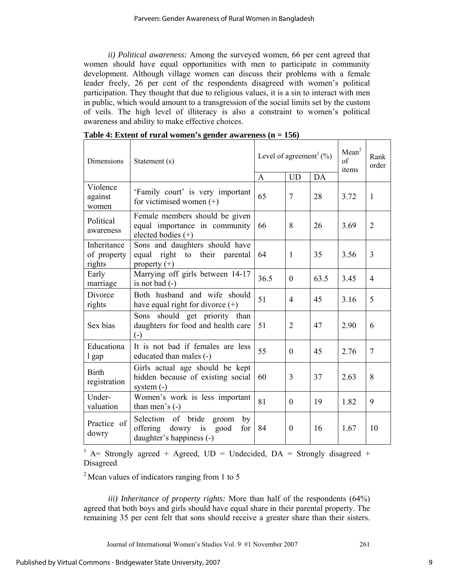*ii) Political awareness:* Among the surveyed women, 66 per cent agreed that women should have equal opportunities with men to participate in community development. Although village women can discuss their problems with a female leader freely, 26 per cent of the respondents disagreed with women's political participation. They thought that due to religious values, it is a sin to interact with men in public, which would amount to a transgression of the social limits set by the custom of veils. The high level of illiteracy is also a constraint to women's political awareness and ability to make effective choices.

| <b>Dimensions</b>                    | Statement (s)                                                                                           | Level of agreement <sup>1</sup> (%)<br>DA<br><b>UD</b><br>$\mathbf{A}$ |                |      | Mean <sup>2</sup><br>of<br>items | Rank<br>order  |
|--------------------------------------|---------------------------------------------------------------------------------------------------------|------------------------------------------------------------------------|----------------|------|----------------------------------|----------------|
| Violence<br>against<br>women         | 'Family court' is very important<br>for victimised women $(+)$                                          | 65                                                                     | $\overline{7}$ | 28   | 3.72                             | $\mathbf{1}$   |
| Political<br>awareness               | Female members should be given<br>equal importance in community<br>elected bodies $(+)$                 | 66                                                                     | 8              | 26   | 3.69                             | $\overline{2}$ |
| Inheritance<br>of property<br>rights | Sons and daughters should have<br>equal right to their parental<br>property $(+)$                       | 64                                                                     | 1              | 35   | 3.56                             | 3              |
| Early<br>marriage                    | Marrying off girls between 14-17<br>is not bad $(-)$                                                    | 36.5                                                                   | $\mathbf{0}$   | 63.5 | 3.45                             | 4              |
| Divorce<br>rights                    | Both husband and wife should<br>have equal right for divorce $(+)$                                      | 51                                                                     | $\overline{4}$ | 45   | 3.16                             | 5              |
| Sex bias                             | Sons should get priority than<br>daughters for food and health care<br>$(-)$                            | 51                                                                     | $\overline{2}$ | 47   | 2.90                             | 6              |
| Educationa<br>l gap                  | It is not bad if females are less<br>educated than males (-)                                            | 55                                                                     | $\theta$       | 45   | 2.76                             | $\overline{7}$ |
| <b>Birth</b><br>registration         | Girls actual age should be kept<br>hidden because of existing social<br>system $(-)$                    | 60                                                                     | 3              | 37   | 2.63                             | 8              |
| Under-<br>valuation                  | Women's work is less important<br>than men's $(-)$                                                      | 81                                                                     | $\Omega$       | 19   | 1.82                             | 9              |
| Practice of<br>dowry                 | Selection of bride<br>groom<br>by<br>offering<br>dowry<br>is<br>good<br>for<br>daughter's happiness (-) | 84                                                                     | $\overline{0}$ | 16   | 1.67                             | 10             |

|  |  | Table 4: Extent of rural women's gender awareness $(n = 156)$ |  |
|--|--|---------------------------------------------------------------|--|
|  |  |                                                               |  |

<sup>1</sup> A= Strongly agreed + Agreed,  $UD = Undecided$ ,  $DA = Strongly discarded +$ Disagreed

 $2$  Mean values of indicators ranging from 1 to 5

*iii) Inheritance of property rights:* More than half of the respondents (64%) agreed that both boys and girls should have equal share in their parental property. The remaining 35 per cent felt that sons should receive a greater share than their sisters.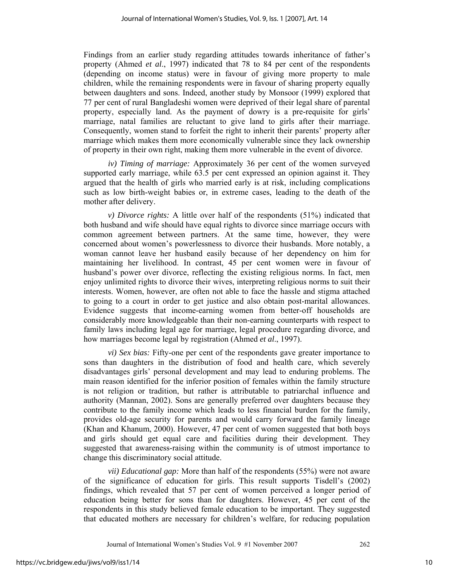Findings from an earlier study regarding attitudes towards inheritance of father's property (Ahmed *et al*., 1997) indicated that 78 to 84 per cent of the respondents (depending on income status) were in favour of giving more property to male children, while the remaining respondents were in favour of sharing property equally between daughters and sons. Indeed, another study by Monsoor (1999) explored that 77 per cent of rural Bangladeshi women were deprived of their legal share of parental property, especially land. As the payment of dowry is a pre-requisite for girls' marriage, natal families are reluctant to give land to girls after their marriage. Consequently, women stand to forfeit the right to inherit their parents' property after marriage which makes them more economically vulnerable since they lack ownership of property in their own right, making them more vulnerable in the event of divorce.

*iv) Timing of marriage:* Approximately 36 per cent of the women surveyed supported early marriage, while 63.5 per cent expressed an opinion against it. They argued that the health of girls who married early is at risk, including complications such as low birth-weight babies or, in extreme cases, leading to the death of the mother after delivery.

*v) Divorce rights:* A little over half of the respondents (51%) indicated that both husband and wife should have equal rights to divorce since marriage occurs with common agreement between partners. At the same time, however, they were concerned about women's powerlessness to divorce their husbands. More notably, a woman cannot leave her husband easily because of her dependency on him for maintaining her livelihood. In contrast, 45 per cent women were in favour of husband's power over divorce, reflecting the existing religious norms. In fact, men enjoy unlimited rights to divorce their wives, interpreting religious norms to suit their interests. Women, however, are often not able to face the hassle and stigma attached to going to a court in order to get justice and also obtain post-marital allowances. Evidence suggests that income-earning women from better-off households are considerably more knowledgeable than their non-earning counterparts with respect to family laws including legal age for marriage, legal procedure regarding divorce, and how marriages become legal by registration (Ahmed *et al*., 1997).

*vi) Sex bias:* Fifty-one per cent of the respondents gave greater importance to sons than daughters in the distribution of food and health care, which severely disadvantages girls' personal development and may lead to enduring problems. The main reason identified for the inferior position of females within the family structure is not religion or tradition, but rather is attributable to patriarchal influence and authority (Mannan, 2002). Sons are generally preferred over daughters because they contribute to the family income which leads to less financial burden for the family, provides old-age security for parents and would carry forward the family lineage (Khan and Khanum, 2000). However, 47 per cent of women suggested that both boys and girls should get equal care and facilities during their development. They suggested that awareness-raising within the community is of utmost importance to change this discriminatory social attitude.

*vii) Educational gap:* More than half of the respondents (55%) were not aware of the significance of education for girls. This result supports Tisdell's (2002) findings, which revealed that 57 per cent of women perceived a longer period of education being better for sons than for daughters. However, 45 per cent of the respondents in this study believed female education to be important. They suggested that educated mothers are necessary for children's welfare, for reducing population

10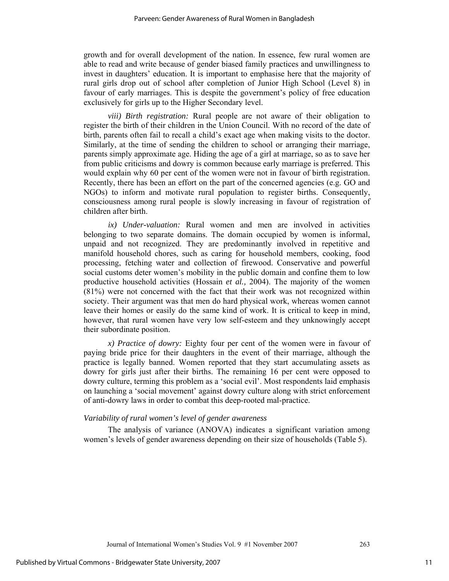growth and for overall development of the nation. In essence, few rural women are able to read and write because of gender biased family practices and unwillingness to invest in daughters' education. It is important to emphasise here that the majority of rural girls drop out of school after completion of Junior High School (Level 8) in favour of early marriages. This is despite the government's policy of free education exclusively for girls up to the Higher Secondary level.

*viii) Birth registration:* Rural people are not aware of their obligation to register the birth of their children in the Union Council. With no record of the date of birth, parents often fail to recall a child's exact age when making visits to the doctor. Similarly, at the time of sending the children to school or arranging their marriage, parents simply approximate age. Hiding the age of a girl at marriage, so as to save her from public criticisms and dowry is common because early marriage is preferred. This would explain why 60 per cent of the women were not in favour of birth registration. Recently, there has been an effort on the part of the concerned agencies (e.g. GO and NGOs) to inform and motivate rural population to register births. Consequently, consciousness among rural people is slowly increasing in favour of registration of children after birth.

*ix) Under-valuation:* Rural women and men are involved in activities belonging to two separate domains. The domain occupied by women is informal, unpaid and not recognized. They are predominantly involved in repetitive and manifold household chores, such as caring for household members, cooking, food processing, fetching water and collection of firewood. Conservative and powerful social customs deter women's mobility in the public domain and confine them to low productive household activities (Hossain *et al.,* 2004). The majority of the women (81%) were not concerned with the fact that their work was not recognized within society. Their argument was that men do hard physical work, whereas women cannot leave their homes or easily do the same kind of work. It is critical to keep in mind, however, that rural women have very low self-esteem and they unknowingly accept their subordinate position.

*x) Practice of dowry:* Eighty four per cent of the women were in favour of paying bride price for their daughters in the event of their marriage, although the practice is legally banned. Women reported that they start accumulating assets as dowry for girls just after their births. The remaining 16 per cent were opposed to dowry culture, terming this problem as a 'social evil'. Most respondents laid emphasis on launching a 'social movement' against dowry culture along with strict enforcement of anti-dowry laws in order to combat this deep-rooted mal-practice.

## *Variability of rural women's level of gender awareness*

The analysis of variance (ANOVA) indicates a significant variation among women's levels of gender awareness depending on their size of households (Table 5).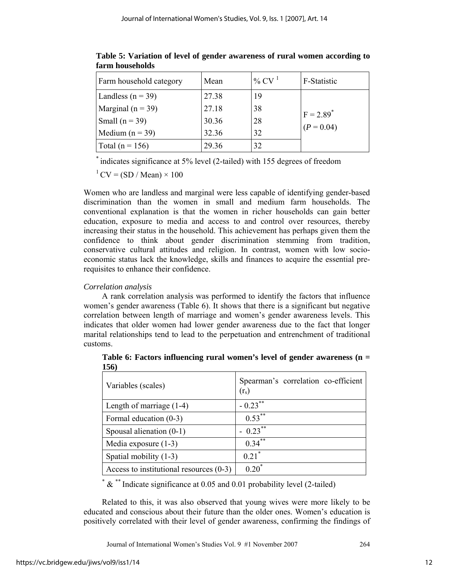| Farm household category | Mean  | % CV $^1$ | F-Statistic             |
|-------------------------|-------|-----------|-------------------------|
| Landless ( $n = 39$ )   | 27.38 | 19        |                         |
| Marginal ( $n = 39$ )   | 27.18 | 38        | $F = 2.89$ <sup>*</sup> |
| Small ( $n = 39$ )      | 30.36 | 28        |                         |
| Medium $(n = 39)$       | 32.36 | 32        | $(P = 0.04)$            |
| Total ( $n = 156$ )     | 29.36 | 32        |                         |

**Table 5: Variation of level of gender awareness of rural women according to farm households** 

\* indicates significance at 5% level (2-tailed) with 155 degrees of freedom

 $1$  CV = (SD / Mean)  $\times$  100

Women who are landless and marginal were less capable of identifying gender-based discrimination than the women in small and medium farm households. The conventional explanation is that the women in richer households can gain better education, exposure to media and access to and control over resources, thereby increasing their status in the household. This achievement has perhaps given them the confidence to think about gender discrimination stemming from tradition, conservative cultural attitudes and religion. In contrast, women with low socioeconomic status lack the knowledge, skills and finances to acquire the essential prerequisites to enhance their confidence.

## *Correlation analysis*

A rank correlation analysis was performed to identify the factors that influence women's gender awareness (Table 6). It shows that there is a significant but negative correlation between length of marriage and women's gender awareness levels. This indicates that older women had lower gender awareness due to the fact that longer marital relationships tend to lead to the perpetuation and entrenchment of traditional customs.

| Variables (scales)                        | Spearman's correlation co-efficient<br>(r <sub>s</sub> ) |
|-------------------------------------------|----------------------------------------------------------|
| Length of marriage $(1-4)$                | $-0.23***$                                               |
| Formal education (0-3)                    | $0.53***$                                                |
| Spousal alienation $(0-1)$                | $-0.23$ **                                               |
| Media exposure $(1-3)$                    | $0.34***$                                                |
| Spatial mobility (1-3)                    | $0.21$ <sup>*</sup>                                      |
| Access to institutional resources $(0-3)$ | $0.20^*$                                                 |

**Table 6: Factors influencing rural women's level of gender awareness (n = 156)** 

\* & \*\* Indicate significance at 0.05 and 0.01 probability level (2-tailed)

Related to this, it was also observed that young wives were more likely to be educated and conscious about their future than the older ones. Women's education is positively correlated with their level of gender awareness, confirming the findings of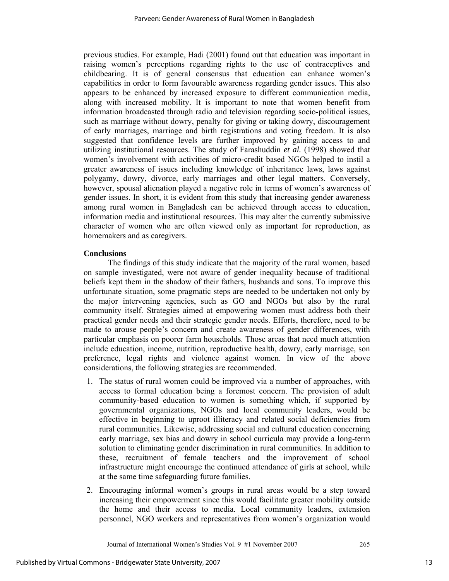previous studies. For example, Hadi (2001) found out that education was important in raising women's perceptions regarding rights to the use of contraceptives and childbearing. It is of general consensus that education can enhance women's capabilities in order to form favourable awareness regarding gender issues. This also appears to be enhanced by increased exposure to different communication media, along with increased mobility. It is important to note that women benefit from information broadcasted through radio and television regarding socio-political issues, such as marriage without dowry, penalty for giving or taking dowry, discouragement of early marriages, marriage and birth registrations and voting freedom. It is also suggested that confidence levels are further improved by gaining access to and utilizing institutional resources. The study of Farashuddin *et al.* (1998) showed that women's involvement with activities of micro-credit based NGOs helped to instil a greater awareness of issues including knowledge of inheritance laws, laws against polygamy, dowry, divorce, early marriages and other legal matters. Conversely, however, spousal alienation played a negative role in terms of women's awareness of gender issues. In short, it is evident from this study that increasing gender awareness among rural women in Bangladesh can be achieved through access to education, information media and institutional resources. This may alter the currently submissive character of women who are often viewed only as important for reproduction, as homemakers and as caregivers.

## **Conclusions**

The findings of this study indicate that the majority of the rural women, based on sample investigated, were not aware of gender inequality because of traditional beliefs kept them in the shadow of their fathers, husbands and sons. To improve this unfortunate situation, some pragmatic steps are needed to be undertaken not only by the major intervening agencies, such as GO and NGOs but also by the rural community itself. Strategies aimed at empowering women must address both their practical gender needs and their strategic gender needs. Efforts, therefore, need to be made to arouse people's concern and create awareness of gender differences, with particular emphasis on poorer farm households. Those areas that need much attention include education, income, nutrition, reproductive health, dowry, early marriage, son preference, legal rights and violence against women. In view of the above considerations, the following strategies are recommended.

- 1. The status of rural women could be improved via a number of approaches, with access to formal education being a foremost concern. The provision of adult community-based education to women is something which, if supported by governmental organizations, NGOs and local community leaders, would be effective in beginning to uproot illiteracy and related social deficiencies from rural communities. Likewise, addressing social and cultural education concerning early marriage, sex bias and dowry in school curricula may provide a long-term solution to eliminating gender discrimination in rural communities. In addition to these, recruitment of female teachers and the improvement of school infrastructure might encourage the continued attendance of girls at school, while at the same time safeguarding future families.
- 2. Encouraging informal women's groups in rural areas would be a step toward increasing their empowerment since this would facilitate greater mobility outside the home and their access to media. Local community leaders, extension personnel, NGO workers and representatives from women's organization would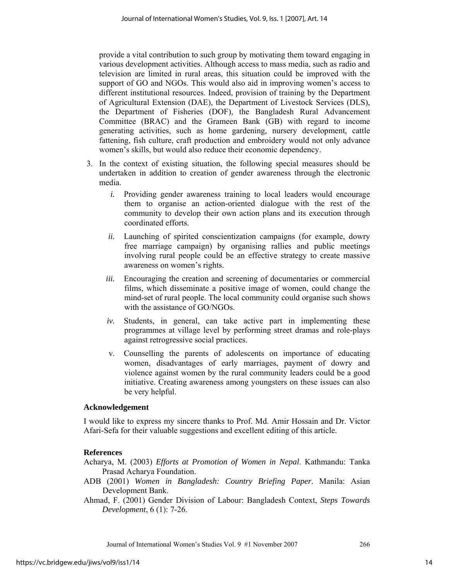provide a vital contribution to such group by motivating them toward engaging in various development activities. Although access to mass media, such as radio and television are limited in rural areas, this situation could be improved with the support of GO and NGOs. This would also aid in improving women's access to different institutional resources. Indeed, provision of training by the Department of Agricultural Extension (DAE), the Department of Livestock Services (DLS), the Department of Fisheries (DOF), the Bangladesh Rural Advancement Committee (BRAC) and the Grameen Bank (GB) with regard to income generating activities, such as home gardening, nursery development, cattle fattening, fish culture, craft production and embroidery would not only advance women's skills, but would also reduce their economic dependency.

- 3. In the context of existing situation, the following special measures should be undertaken in addition to creation of gender awareness through the electronic media.
	- *i.* Providing gender awareness training to local leaders would encourage them to organise an action-oriented dialogue with the rest of the community to develop their own action plans and its execution through coordinated efforts.
	- *ii.* Launching of spirited conscientization campaigns (for example, dowry free marriage campaign) by organising rallies and public meetings involving rural people could be an effective strategy to create massive awareness on women's rights.
	- *iii.* Encouraging the creation and screening of documentaries or commercial films, which disseminate a positive image of women, could change the mind-set of rural people. The local community could organise such shows with the assistance of GO/NGOs.
	- *iv.* Students, in general, can take active part in implementing these programmes at village level by performing street dramas and role-plays against retrogressive social practices.
	- v. Counselling the parents of adolescents on importance of educating women, disadvantages of early marriages, payment of dowry and violence against women by the rural community leaders could be a good initiative. Creating awareness among youngsters on these issues can also be very helpful.

## **Acknowledgement**

I would like to express my sincere thanks to Prof. Md. Amir Hossain and Dr. Victor Afari-Sefa for their valuable suggestions and excellent editing of this article.

#### **References**

Acharya, M. (2003) *Efforts at Promotion of Women in Nepal*. Kathmandu: Tanka Prasad Acharya Foundation.

- ADB (2001) *Women in Bangladesh: Country Briefing Paper*. Manila: Asian Development Bank.
- Ahmad, F. (2001) Gender Division of Labour: Bangladesh Context, *Steps Towards Development*, 6 (1): 7-26.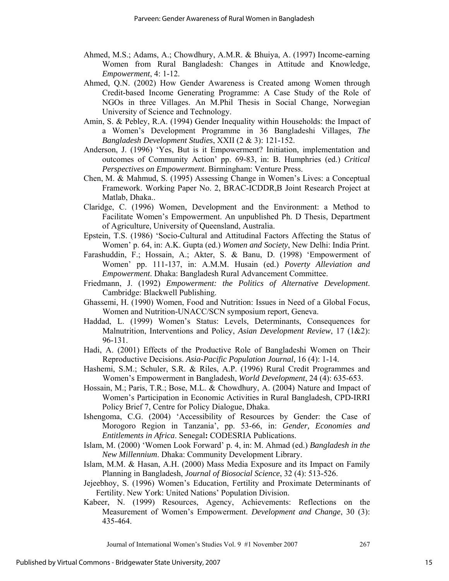- Ahmed, M.S.; Adams, A.; Chowdhury, A.M.R. & Bhuiya, A. (1997) Income-earning Women from Rural Bangladesh: Changes in Attitude and Knowledge, *Empowerment*, 4: 1-12.
- Ahmed, Q.N. (2002) How Gender Awareness is Created among Women through Credit-based Income Generating Programme: A Case Study of the Role of NGOs in three Villages. An M.Phil Thesis in Social Change, Norwegian University of Science and Technology.
- Amin, S. & Pebley, R.A. (1994) Gender Inequality within Households: the Impact of a Women's Development Programme in 36 Bangladeshi Villages, *The Bangladesh Development Studies*, XXII (2 & 3): 121-152.
- Anderson, J. (1996) 'Yes, But is it Empowerment? Initiation, implementation and outcomes of Community Action' pp. 69-83, in: B. Humphries (ed.) *Critical Perspectives on Empowerment*. Birmingham: Venture Press.
- Chen, M. & Mahmud, S. (1995) Assessing Change in Women's Lives: a Conceptual Framework. Working Paper No. 2, BRAC-ICDDR,B Joint Research Project at Matlab, Dhaka..
- Claridge, C. (1996) Women, Development and the Environment: a Method to Facilitate Women's Empowerment. An unpublished Ph. D Thesis, Department of Agriculture, University of Queensland, Australia.
- Epstein, T.S. (1986) 'Socio-Cultural and Attitudinal Factors Affecting the Status of Women' p. 64, in: A.K. Gupta (ed.) *Women and Society*, New Delhi: India Print.
- Farashuddin, F.; Hossain, A.; Akter, S. & Banu, D. (1998) 'Empowerment of Women' pp. 111-137, in: A.M.M. Husain (ed.) *Poverty Alleviation and Empowerment*. Dhaka: Bangladesh Rural Advancement Committee.
- Friedmann, J. (1992) *Empowerment: the Politics of Alternative Development*. Cambridge: Blackwell Publishing.
- Ghassemi, H. (1990) Women, Food and Nutrition: Issues in Need of a Global Focus, Women and Nutrition-UNACC/SCN symposium report, Geneva.
- Haddad, L. (1999) Women's Status: Levels, Determinants, Consequences for Malnutrition, Interventions and Policy, *Asian Development Review*, 17 (1&2): 96-131.
- Hadi, A. (2001) Effects of the Productive Role of Bangladeshi Women on Their Reproductive Decisions. *Asia-Pacific Population Journal*, 16 (4): 1-14.
- Hashemi, S.M.; Schuler, S.R. & Riles, A.P. (1996) Rural Credit Programmes and Women's Empowerment in Bangladesh, *World Development*, 24 (4): 635-653.
- Hossain, M.; Paris, T.R.; Bose, M.L. & Chowdhury, A. (2004) Nature and Impact of Women's Participation in Economic Activities in Rural Bangladesh, CPD-IRRI Policy Brief 7, Centre for Policy Dialogue, Dhaka.
- Ishengoma, C.G. (2004) 'Accessibility of Resources by Gender: the Case of Morogoro Region in Tanzania', pp. 53-66, in: *Gender, Economies and Entitlements in Africa*. Senegal**:** CODESRIA Publications.
- Islam, M. (2000) 'Women Look Forward' p. 4, in: M. Ahmad (ed.) *Bangladesh in the New Millennium*. Dhaka: Community Development Library.
- Islam, M.M. & Hasan, A.H. (2000) Mass Media Exposure and its Impact on Family Planning in Bangladesh, *Journal of Biosocial Science*, 32 (4): 513-526.
- Jejeebhoy, S. (1996) Women's Education, Fertility and Proximate Determinants of Fertility. New York: United Nations' Population Division.
- Kabeer, N. (1999) Resources, Agency, Achievements: Reflections on the Measurement of Women's Empowerment. *Development and Change*, 30 (3): 435-464.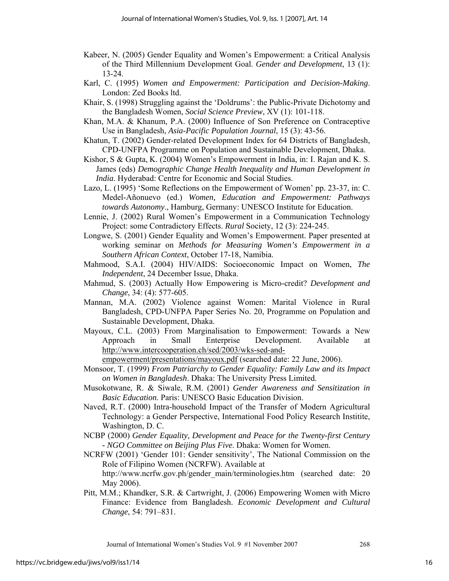- Kabeer, N. (2005) Gender Equality and Women's Empowerment: a Critical Analysis of the Third Millennium Development Goal. *Gender and Development*, 13 (1): 13-24.
- Karl, C. (1995) *Women and Empowerment: Participation and Decision-Making*. London: Zed Books ltd.
- Khair, S. (1998) Struggling against the 'Doldrums': the Public-Private Dichotomy and the Bangladesh Women, *Social Science Preview*, XV (1): 101-118.
- Khan, M.A. & Khanum, P.A. (2000) Influence of Son Preference on Contraceptive Use in Bangladesh, *Asia-Pacific Population Journal*, 15 (3): 43-56.
- Khatun, T. (2002) Gender-related Development Index for 64 Districts of Bangladesh, CPD-UNFPA Programme on Population and Sustainable Development, Dhaka.
- Kishor, S & Gupta, K. (2004) Women's Empowerment in India, in: I. Rajan and K. S. James (eds) *Demographic Change Health Inequality and Human Development in India*. Hyderabad: Centre for Economic and Social Studies.
- Lazo, L. (1995) 'Some Reflections on the Empowerment of Women' pp. 23-37, in: C. Medel-Añonuevo (ed.) *Women, Education and Empowerment: Pathways towards Autonomy*., Hamburg, Germany: UNESCO Institute for Education.
- Lennie, J. (2002) Rural Women's Empowerment in a Communication Technology Project: some Contradictory Effects. *Rural* Society, 12 (3): 224-245.
- Longwe, S. (2001) Gender Equality and Women's Empowerment. Paper presented at working seminar on *Methods for Measuring Women's Empowerment in a Southern African Context*, October 17-18, Namibia.
- Mahmood, S.A.I. (2004) HIV/AIDS: Socioeconomic Impact on Women, *The Independent*, 24 December Issue, Dhaka.
- Mahmud, S. (2003) Actually How Empowering is Micro-credit? *Development and Change*, 34: (4): 577-605.
- Mannan, M.A. (2002) Violence against Women: Marital Violence in Rural Bangladesh, CPD-UNFPA Paper Series No. 20, Programme on Population and Sustainable Development, Dhaka.
- Mayoux, C.L. (2003) From Marginalisation to Empowerment: Towards a New Approach in Small Enterprise Development. Available at http://www.intercooperation.ch/sed/2003/wks-sed-and-

empowerment/presentations/mayoux.pdf (searched date: 22 June, 2006).

- Monsoor, T. (1999) *From Patriarchy to Gender Equality: Family Law and its Impact on Women in Bangladesh*. Dhaka: The University Press Limited.
- Musokotwane, R. & Siwale, R.M. (2001) *Gender Awareness and Sensitization in Basic Education*. Paris: UNESCO Basic Education Division.
- Naved, R.T. (2000) Intra-household Impact of the Transfer of Modern Agricultural Technology: a Gender Perspective, International Food Policy Research Institite, Washington, D. C.
- NCBP (2000) *Gender Equality, Development and Peace for the Twenty-first Century - NGO Committee on Beijing Plus Five*. Dhaka: Women for Women.
- NCRFW (2001) 'Gender 101: Gender sensitivity', The National Commission on the Role of Filipino Women (NCRFW). Available at http://www.ncrfw.gov.ph/gender\_main/terminologies.htm (searched date: 20 May 2006).
- Pitt, M.M.; Khandker, S.R. & Cartwright, J. (2006) Empowering Women with Micro Finance: Evidence from Bangladesh. *Economic Development and Cultural Change*, 54: 791–831.